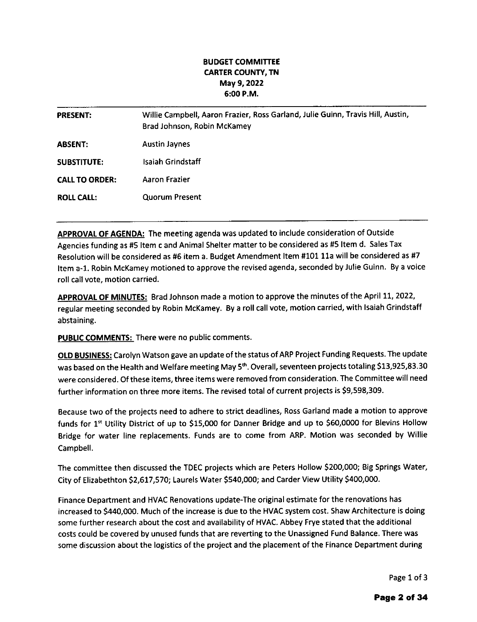## BUDGET COMMITTEE CARTER COUNTY, TN May 9,2022 6:00 P.M.

| <b>PRESENT:</b>       | Willie Campbell, Aaron Frazier, Ross Garland, Julie Guinn, Travis Hill, Austin,<br>Brad Johnson, Robin McKamey |
|-----------------------|----------------------------------------------------------------------------------------------------------------|
| <b>ABSENT:</b>        | <b>Austin Jaynes</b>                                                                                           |
| <b>SUBSTITUTE:</b>    | Isaiah Grindstaff                                                                                              |
| <b>CALL TO ORDER:</b> | Aaron Frazier                                                                                                  |
| <b>ROLL CALL:</b>     | <b>Quorum Present</b>                                                                                          |

APPROVAL OF AGENDA: The meeting agenda was updated to include consideration of Outside Agencies funding as #5 Item c and Animal Shelter matter to be considered as #5 Item d. Sales Tax Resolution will be considered as #6 item a. Budget Amendment Item #101 11a will be considered as #7 Item a-1. Robin McKamey motioned to approve the revised agenda, seconded by Julie Guinn. By a voice roll call vote, motion carried.

APPROVAL OF MINUTES: Brad Johnson made a motion to approve the minutes of the April 11, 2022, regular meeting seconded by Robin McKamey. By a roll call vote, motion carried, with lsaiah Grindstaff abstaining.

PUBLIC COMMENTS: There were no public comments.

OLD BUSINESS: Carolyn Watson gave an update of the status of ARP Project Funding Requests. The update was based on the Health and Welfare meeting May 5<sup>th</sup>. Overall, seventeen projects totaling \$13,925,83.30 were considered. Of these items, three items were removed from consideration. The Committee will need further information on three more items. The revised total of current projects is 59,598,309.

Because two of the projects need to adhere to strict deadlines, Ross Garland made a motion to approve funds for 1<sup>st</sup> Utility District of up to \$15,000 for Danner Bridge and up to \$60,0000 for Blevins Hollow Bridge for water line replacements. Funds are to come from ARP. Motion was seconded by Willie Campbell.

The committee then discussed the TDEC projects which are Peters Hollow 5200,000; Big Springs Water, City of Elizabethton \$2,617,570; Laurels Water \$540,000; and Carder View Utility \$400,000.

Finance Department and HVAC Renovations update-The original estimate for the renovations has increased to 5440,000. Much of the increase is due to the HVAC system cost. Shaw Architecture is doing some further research about the cost and availability of HVAC. Abbey Frye stated that the additional costs could be covered by unused funds that are reverting to the Unassigned Fund Balance. There was some discussion about the logistics of the project and the placement of the Finance Department during

Page 1 of 3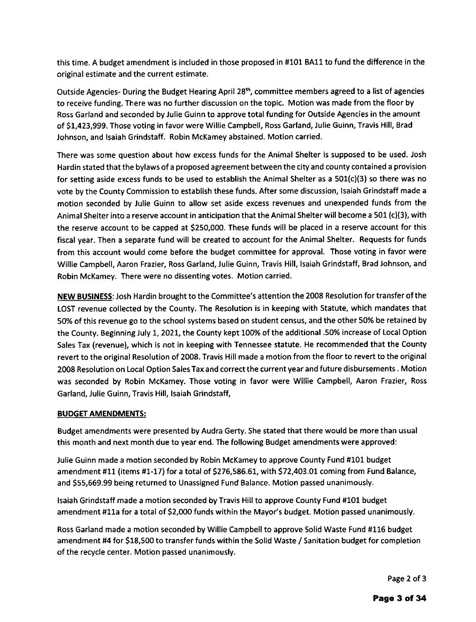this time. A budget amendment is included in those proposed in #101 BA11 to fund the difference in the original estimate and the current estimate.

Outside Agencies- During the Budget Hearing April 28<sup>th</sup>, committee members agreed to a list of agencies to receive funding. There was no further discussion on the topic. Motion was made from the floor by Ross Garland and seconded by Julie Guinn to approve total funding for Outside Agencies in the amount of Sf,423,999. Those voting in favor were Willie Campbell, Ross Garland, Julie Guinn, Travis Hill, Brad Johnson, and lsaiah Grindstaff. Robin McKamey abstained. Motion carried.

There was some question about how excess funds for the Animal Shelter is supposed to be used, Josh Hardin stated that the bylaws of a proposed agreement between the city and county contained a provision for setting aside excess funds to be used to establish the Animal Shelter as a  $501(c)(3)$  so there was no vote by the County Commission to establish these funds. After some discussion, lsaiah Grindstaff made a motion seconded by Julie Guinn to allow set aside excess revenues and unexpended funds from the Animal Shelter into a reserve account in anticipation that the Animal Shelter will become a 501 (c)(3), with the reserve account to be capped at 5250,000. These funds will be placed in a reserve account for this fiscal year. Then a separate fund will be created to account for the Animal Shelter. Requests for funds from this account would come before the budget committee for approval. Those voting in favor were Willie Campbell, Aaron Frazier, Ross Garland, Julie Guinn, Travis Hill, lsaiah Grindstaff, Brad Johnson, and Robin McKamey. There were no dissenting votes. Motion carried.

NEW BUSINESS: Josh Hardin brought to the Committee's attention the 2008 Resolution for transfer of the LOST revenue collected by the County. The Resolution is in keeping with statute, which mandates that 50% of this revenue go to the school systems based on student census, and the other 50% be retained by the County. Beginning July 1, 2021, the County kept 100% of the additional .50% increase of Local Option Sales Tax (revenue), which is not in keeping with Tennessee statute. He recommended that the County revert to the original Resolution of 2008. Travis Hill made a motion from the floor to revert to the original 2008 Resolution on Local Option Sales Tax and correct the current year and future disbursements . Motion was seconded by Robin McKamey. Those voting in favor were Willie Campbell, Aaron Frazier, Ross Garland, Julie Guinn, Travis Hill, lsaiah Grindstaff,

## BUDGET AMENDMENTS:

Budget amendments were presented by Audra Gerty. She stated that there would be more than usual this month and next month due to year end. The following Budget amendments were approved:

Julie Guinn made a motion seconded by Robin McKamey to approve County Fund f101 budget amendment #11 (items #1-17) for a total of \$276,586.61, with \$72,403.01 coming from Fund Balance, and S55,669.99 being returned to Unassigned Fund Balance. Motion passed unanimously.

lsaiah Grindstaff made a motion seconded by Travis Hill to approve County Fund #101 budget amendment f11a for a total of S2,000 funds within the Mayor's budget. Motion passed unanimously.

Ross Garland made a motion seconded by Willie Campbell to approve Solid Waste Fund #116 budget amendment #4 for \$18,500 to transfer funds within the Solid Waste / Sanitation budget for completion of the recycle center. Motion passed unanimously.

Page 2 of 3